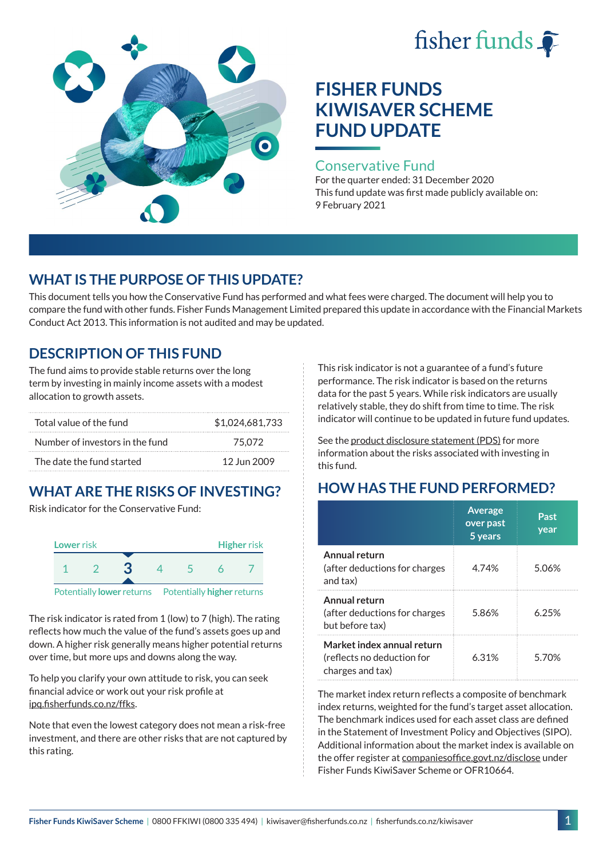# fisher funds  $\hat{\bullet}$



# **FISHER FUNDS KIWISAVER SCHEME FUND UPDATE**

### Conservative Fund

For the quarter ended: 31 December 2020 This fund update was first made publicly available on: 9 February 2021

## **WHAT IS THE PURPOSE OF THIS UPDATE?**

This document tells you how the Conservative Fund has performed and what fees were charged. The document will help you to compare the fund with other funds. Fisher Funds Management Limited prepared this update in accordance with the Financial Markets Conduct Act 2013. This information is not audited and may be updated.

## **DESCRIPTION OF THIS FUND**

The fund aims to provide stable returns over the long term by investing in mainly income assets with a modest allocation to growth assets.

| Total value of the fund         | \$1,024,681,733 |
|---------------------------------|-----------------|
| Number of investors in the fund | 75.072          |
| The date the fund started       | 12 Jun 2009     |

# **WHAT ARE THE RISKS OF INVESTING?**

Risk indicator for the Conservative Fund:



The risk indicator is rated from 1 (low) to 7 (high). The rating reflects how much the value of the fund's assets goes up and down. A higher risk generally means higher potential returns over time, but more ups and downs along the way.

To help you clarify your own attitude to risk, you can seek financial advice or work out your risk profile at [ipq.fisherfunds.co.nz/ffks](https://ipq.fisherfunds.co.nz/ffks).

Note that even the lowest category does not mean a risk-free investment, and there are other risks that are not captured by this rating.

This risk indicator is not a guarantee of a fund's future performance. The risk indicator is based on the returns data for the past 5 years. While risk indicators are usually relatively stable, they do shift from time to time. The risk indicator will continue to be updated in future fund updates.

See the [product disclosure statement \(PDS\)](https://fisherfunds.co.nz/assets/PDS/Fisher-Funds-KiwiSaver-Scheme-PDS.pdf) for more information about the risks associated with investing in this fund.

## **HOW HAS THE FUND PERFORMED?**

|                                                                              | <b>Average</b><br>over past<br>5 years | Past<br>year |
|------------------------------------------------------------------------------|----------------------------------------|--------------|
| Annual return<br>(after deductions for charges<br>and tax)                   | 4.74%                                  | 5.06%        |
| Annual return<br>(after deductions for charges<br>but before tax)            | 5.86%                                  | 6.25%        |
| Market index annual return<br>(reflects no deduction for<br>charges and tax) | 6.31%                                  | 5 70%        |

The market index return reflects a composite of benchmark index returns, weighted for the fund's target asset allocation. The benchmark indices used for each asset class are defined in the Statement of Investment Policy and Objectives (SIPO). Additional information about the market index is available on the offer register at [companiesoffice.govt.nz/disclose](http://companiesoffice.govt.nz/disclose) under Fisher Funds KiwiSaver Scheme or OFR10664.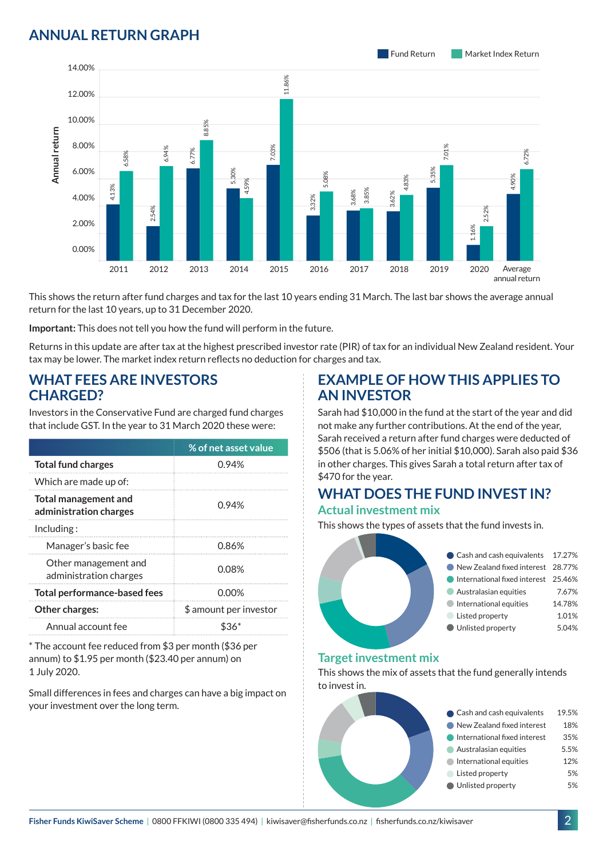## **ANNUAL RETURN GRAPH**



This shows the return after fund charges and tax for the last 10 years ending 31 March. The last bar shows the average annual return for the last 10 years, up to 31 December 2020.

**Important:** This does not tell you how the fund will perform in the future.

Returns in this update are after tax at the highest prescribed investor rate (PIR) of tax for an individual New Zealand resident. Your tax may be lower. The market index return reflects no deduction for charges and tax.

#### **WHAT FEES ARE INVESTORS CHARGED?**

|                                                                                                                             |                           |       |                                     | 8.8   |                                                                                                                           |      |
|-----------------------------------------------------------------------------------------------------------------------------|---------------------------|-------|-------------------------------------|-------|---------------------------------------------------------------------------------------------------------------------------|------|
|                                                                                                                             | 8.00%                     |       | 6.94%                               | 6.77% |                                                                                                                           | 03%  |
| Annual return                                                                                                               | 6.00%                     | 6.58% |                                     |       | 5.30%                                                                                                                     |      |
|                                                                                                                             | 4.00%                     | 4.13% |                                     |       | 4.59%                                                                                                                     |      |
|                                                                                                                             | 2.00%                     |       | 54%                                 |       |                                                                                                                           |      |
|                                                                                                                             | 0.00%                     |       |                                     |       |                                                                                                                           |      |
|                                                                                                                             |                           | 2011  | 2012                                | 2013  | 2014                                                                                                                      | 2015 |
|                                                                                                                             |                           |       |                                     |       | This shows the return after fund charges and tax for the last 10<br>return for the last 10 years, up to 31 December 2020. |      |
|                                                                                                                             |                           |       |                                     |       | Important: This does not tell you how the fund will perform in th                                                         |      |
|                                                                                                                             |                           |       |                                     |       | Returns in this update are after tax at the highest prescribed inv                                                        |      |
|                                                                                                                             |                           |       |                                     |       | tax may be lower. The market index return reflects no deductior                                                           |      |
| <b>WHAT FEES ARE INVESTORS</b><br><b>CHARGED?</b>                                                                           |                           |       |                                     |       |                                                                                                                           |      |
|                                                                                                                             |                           |       |                                     |       | Investors in the Conservative Fund are charged fund charges                                                               |      |
|                                                                                                                             |                           |       |                                     |       | that include GST. In the year to 31 March 2020 these were:                                                                |      |
|                                                                                                                             |                           |       |                                     |       | % of net asset value                                                                                                      |      |
|                                                                                                                             | <b>Total fund charges</b> |       |                                     |       | 0.94%                                                                                                                     |      |
|                                                                                                                             | Which are made up of:     |       |                                     |       |                                                                                                                           |      |
| <b>Total management and</b><br>administration charges                                                                       |                           | 0.94% |                                     |       |                                                                                                                           |      |
| Including:                                                                                                                  |                           |       |                                     |       |                                                                                                                           |      |
| Manager's basic fee                                                                                                         |                           |       | 0.86%                               |       |                                                                                                                           |      |
| Other management and<br>administration charges                                                                              |                           | 0.08% |                                     |       |                                                                                                                           |      |
| <b>Total performance-based fees</b>                                                                                         |                           |       | $0.00\%$                            |       |                                                                                                                           |      |
|                                                                                                                             | Other charges:            |       |                                     |       | \$ amount per investor                                                                                                    |      |
|                                                                                                                             | Annual account fee        |       |                                     |       | \$36*                                                                                                                     |      |
| * The account fee reduced from \$3 per month (\$36 per<br>annum) to \$1.95 per month (\$23.40 per annum) on<br>1 July 2020. |                           |       |                                     |       |                                                                                                                           |      |
|                                                                                                                             |                           |       | your investment over the long term. |       | Small differences in fees and charges can have a big impact on                                                            |      |

### **EXAMPLE OF HOW THIS APPLIES TO AN INVESTOR**

Sarah had \$10,000 in the fund at the start of the year and did not make any further contributions. At the end of the year, Sarah received a return after fund charges were deducted of \$506 (that is 5.06% of her initial \$10,000). Sarah also paid \$36 in other charges. This gives Sarah a total return after tax of \$470 for the year.

#### **WHAT DOES THE FUND INVEST IN? Actual investment mix**

This shows the types of assets that the fund invests in.



#### **Target investment mix**

This shows the mix of assets that the fund generally intends to invest in.